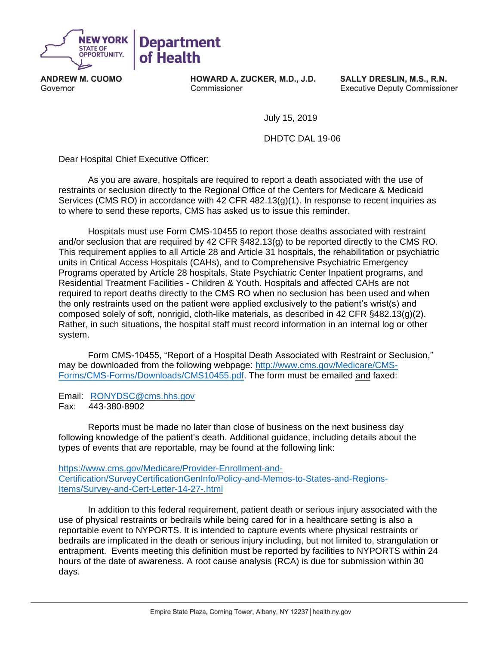

**ANDREW M. CUOMO** Governor

HOWARD A. ZUCKER, M.D., J.D. Commissioner

SALLY DRESLIN, M.S., R.N. **Executive Deputy Commissioner** 

July 15, 2019

DHDTC DAL 19-06

Dear Hospital Chief Executive Officer:

As you are aware, hospitals are required to report a death associated with the use of restraints or seclusion directly to the Regional Office of the Centers for Medicare & Medicaid Services (CMS RO) in accordance with 42 CFR 482.13(g)(1). In response to recent inquiries as to where to send these reports, CMS has asked us to issue this reminder.

Hospitals must use Form CMS-10455 to report those deaths associated with restraint and/or seclusion that are required by 42 CFR §482.13(g) to be reported directly to the CMS RO. This requirement applies to all Article 28 and Article 31 hospitals, the rehabilitation or psychiatric units in Critical Access Hospitals (CAHs), and to Comprehensive Psychiatric Emergency Programs operated by Article 28 hospitals, State Psychiatric Center Inpatient programs, and Residential Treatment Facilities - Children & Youth. Hospitals and affected CAHs are not required to report deaths directly to the CMS RO when no seclusion has been used and when the only restraints used on the patient were applied exclusively to the patient's wrist(s) and composed solely of soft, nonrigid, cloth-like materials, as described in 42 CFR §482.13(g)(2). Rather, in such situations, the hospital staff must record information in an internal log or other system.

Form CMS-10455, "Report of a Hospital Death Associated with Restraint or Seclusion," may be downloaded from the following webpage: [http://www.cms.gov/Medicare/CMS-](http://www.cms.gov/Medicare/CMS-Forms/CMS-Forms/Downloads/CMS10455.pdf)[Forms/CMS-Forms/Downloads/CMS10455.pdf.](http://www.cms.gov/Medicare/CMS-Forms/CMS-Forms/Downloads/CMS10455.pdf) The form must be emailed and faxed:

Email: [RONYDSC@cms.hhs.gov](mailto:RONYDSC@cms.hhs.gov) Fax: 443-380-8902

Reports must be made no later than close of business on the next business day following knowledge of the patient's death. Additional guidance, including details about the types of events that are reportable, may be found at the following link:

[https://www.cms.gov/Medicare/Provider-Enrollment-and-](https://www.cms.gov/Medicare/Provider-Enrollment-and-Certification/SurveyCertificationGenInfo/Policy-and-Memos-to-States-and-Regions-Items/Survey-and-Cert-Letter-14-27-.html)[Certification/SurveyCertificationGenInfo/Policy-and-Memos-to-States-and-Regions-](https://www.cms.gov/Medicare/Provider-Enrollment-and-Certification/SurveyCertificationGenInfo/Policy-and-Memos-to-States-and-Regions-Items/Survey-and-Cert-Letter-14-27-.html)[Items/Survey-and-Cert-Letter-14-27-.html](https://www.cms.gov/Medicare/Provider-Enrollment-and-Certification/SurveyCertificationGenInfo/Policy-and-Memos-to-States-and-Regions-Items/Survey-and-Cert-Letter-14-27-.html)

In addition to this federal requirement, patient death or serious injury associated with the use of physical restraints or bedrails while being cared for in a healthcare setting is also a reportable event to NYPORTS. It is intended to capture events where physical restraints or bedrails are implicated in the death or serious injury including, but not limited to, strangulation or entrapment. Events meeting this definition must be reported by facilities to NYPORTS within 24 hours of the date of awareness. A root cause analysis (RCA) is due for submission within 30 days.